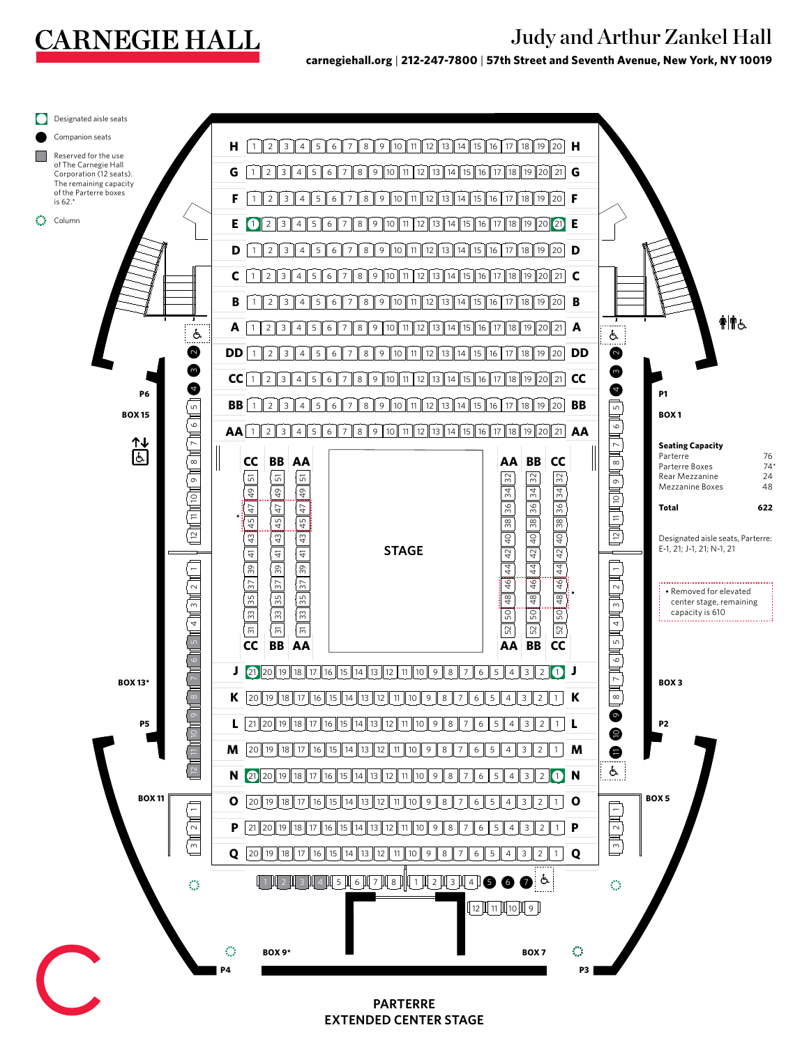## **CARNEGIE HALL**

## Judy and Arthur Zankel Hall

**carnegiehall.org** | **212-247-7800** | **57th Street and Seventh Avenue, New York, NY 10019**



**EXTENDED CENTER STAGE**